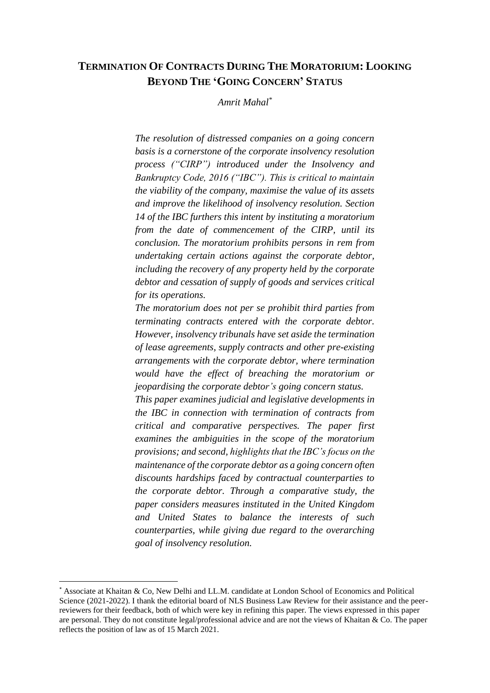# **TERMINATION OF CONTRACTS DURING THE MORATORIUM: LOOKING BEYOND THE 'GOING CONCERN' STATUS**

*Amrit Mahal\**

*The resolution of distressed companies on a going concern basis is a cornerstone of the corporate insolvency resolution process ("CIRP") introduced under the Insolvency and Bankruptcy Code, 2016 ("IBC"). This is critical to maintain the viability of the company, maximise the value of its assets and improve the likelihood of insolvency resolution. Section 14 of the IBC furthers this intent by instituting a moratorium from the date of commencement of the CIRP, until its conclusion. The moratorium prohibits persons in rem from undertaking certain actions against the corporate debtor, including the recovery of any property held by the corporate debtor and cessation of supply of goods and services critical for its operations.*

*The moratorium does not per se prohibit third parties from terminating contracts entered with the corporate debtor. However, insolvency tribunals have set aside the termination of lease agreements, supply contracts and other pre-existing arrangements with the corporate debtor, where termination would have the effect of breaching the moratorium or jeopardising the corporate debtor's going concern status.* 

*This paper examines judicial and legislative developments in the IBC in connection with termination of contracts from critical and comparative perspectives. The paper first examines the ambiguities in the scope of the moratorium provisions; and second, highlights that the IBC's focus on the maintenance of the corporate debtor as a going concern often discounts hardships faced by contractual counterparties to the corporate debtor. Through a comparative study, the paper considers measures instituted in the United Kingdom and United States to balance the interests of such counterparties, while giving due regard to the overarching goal of insolvency resolution.*

<sup>\*</sup> Associate at Khaitan & Co, New Delhi and LL.M. candidate at London School of Economics and Political Science (2021-2022). I thank the editorial board of NLS Business Law Review for their assistance and the peerreviewers for their feedback, both of which were key in refining this paper. The views expressed in this paper are personal. They do not constitute legal/professional advice and are not the views of Khaitan & Co. The paper reflects the position of law as of 15 March 2021.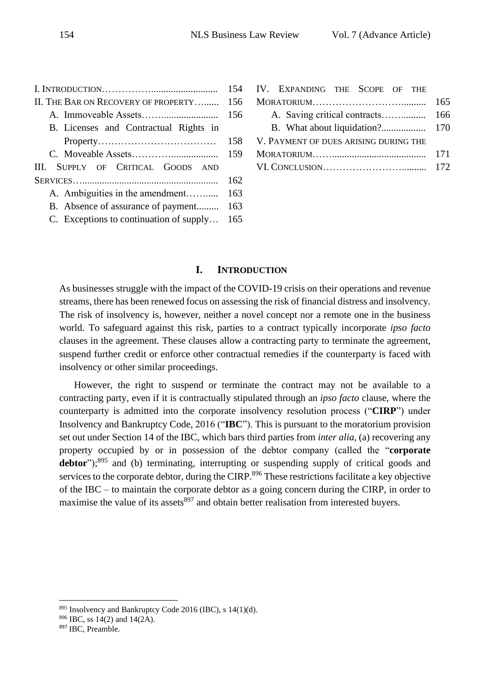<span id="page-1-0"></span>

|                                         | 154 |
|-----------------------------------------|-----|
| II. THE BAR ON RECOVERY OF PROPERTY     | 156 |
|                                         | 156 |
| B. Licenses and Contractual Rights in   |     |
|                                         | 158 |
|                                         | 159 |
| III. SUPPLY OF CRITICAL GOODS AND       |     |
|                                         | 162 |
| A. Ambiguities in the amendment         | 163 |
| B. Absence of assurance of payment      | 163 |
| C. Exceptions to continuation of supply | 165 |

| IV. EXPANDING THE SCOPE OF THE        |     |
|---------------------------------------|-----|
|                                       | 165 |
|                                       |     |
|                                       |     |
| V. PAYMENT OF DUES ARISING DURING THE |     |
|                                       | 171 |
|                                       |     |
|                                       |     |

## **I. INTRODUCTION**

As businesses struggle with the impact of the COVID-19 crisis on their operations and revenue streams, there has been renewed focus on assessing the risk of financial distress and insolvency. The risk of insolvency is, however, neither a novel concept nor a remote one in the business world. To safeguard against this risk, parties to a contract typically incorporate *ipso facto* clauses in the agreement. These clauses allow a contracting party to terminate the agreement, suspend further credit or enforce other contractual remedies if the counterparty is faced with insolvency or other similar proceedings.

However, the right to suspend or terminate the contract may not be available to a contracting party, even if it is contractually stipulated through an *ipso facto* clause, where the counterparty is admitted into the corporate insolvency resolution process ("**CIRP**") under Insolvency and Bankruptcy Code, 2016 ("**IBC**"). This is pursuant to the moratorium provision set out under Section 14 of the IBC, which bars third parties from *inter alia*, (a) recovering any property occupied by or in possession of the debtor company (called the "**corporate**  debtor");<sup>895</sup> and (b) terminating, interrupting or suspending supply of critical goods and services to the corporate debtor, during the CIRP.<sup>896</sup> These restrictions facilitate a key objective of the IBC – to maintain the corporate debtor as a going concern during the CIRP, in order to maximise the value of its assets<sup>897</sup> and obtain better realisation from interested buyers.

 $895$  Insolvency and Bankruptcy Code 2016 (IBC), s 14(1)(d).

<sup>896</sup> IBC, ss 14(2) and 14(2A).

<sup>897</sup> IBC, Preamble.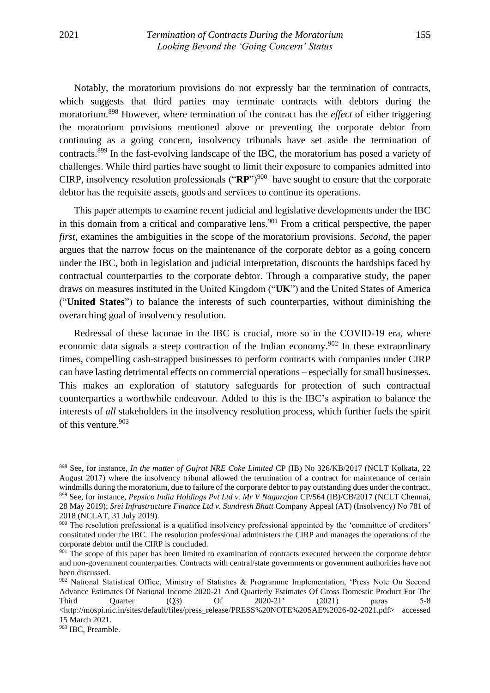Notably, the moratorium provisions do not expressly bar the termination of contracts, which suggests that third parties may terminate contracts with debtors during the moratorium. <sup>898</sup> However, where termination of the contract has the *effect* of either triggering the moratorium provisions mentioned above or preventing the corporate debtor from continuing as a going concern, insolvency tribunals have set aside the termination of contracts.<sup>899</sup> In the fast-evolving landscape of the IBC, the moratorium has posed a variety of challenges. While third parties have sought to limit their exposure to companies admitted into CIRP, insolvency resolution professionals ("**RP**")<sup>900</sup> have sought to ensure that the corporate debtor has the requisite assets, goods and services to continue its operations.

This paper attempts to examine recent judicial and legislative developments under the IBC in this domain from a critical and comparative lens.<sup>901</sup> From a critical perspective, the paper *first*, examines the ambiguities in the scope of the moratorium provisions. *Second*, the paper argues that the narrow focus on the maintenance of the corporate debtor as a going concern under the IBC, both in legislation and judicial interpretation, discounts the hardships faced by contractual counterparties to the corporate debtor. Through a comparative study, the paper draws on measures instituted in the United Kingdom ("**UK**") and the United States of America ("**United States**") to balance the interests of such counterparties, without diminishing the overarching goal of insolvency resolution.

Redressal of these lacunae in the IBC is crucial, more so in the COVID-19 era, where economic data signals a steep contraction of the Indian economy.<sup>902</sup> In these extraordinary times, compelling cash-strapped businesses to perform contracts with companies under CIRP can have lasting detrimental effects on commercial operations – especially for small businesses. This makes an exploration of statutory safeguards for protection of such contractual counterparties a worthwhile endeavour. Added to this is the IBC's aspiration to balance the interests of *all* stakeholders in the insolvency resolution process, which further fuels the spirit of this venture. 903

<sup>898</sup> See, for instance, *In the matter of Gujrat NRE Coke Limited* CP (IB) No 326/KB/2017 (NCLT Kolkata, 22 August 2017) where the insolvency tribunal allowed the termination of a contract for maintenance of certain windmills during the moratorium, due to failure of the corporate debtor to pay outstanding dues under the contract. <sup>899</sup> See, for instance, *Pepsico India Holdings Pvt Ltd v. Mr V Nagarajan* CP/564 (IB)/CB/2017 (NCLT Chennai, 28 May 2019); *Srei Infrastructure Finance Ltd v. Sundresh Bhatt* Company Appeal (AT) (Insolvency) No 781 of 2018 (NCLAT, 31 July 2019)*.*

<sup>900</sup> The resolution professional is a qualified insolvency professional appointed by the 'committee of creditors' constituted under the IBC. The resolution professional administers the CIRP and manages the operations of the corporate debtor until the CIRP is concluded.

<sup>&</sup>lt;sup>901</sup> The scope of this paper has been limited to examination of contracts executed between the corporate debtor and non-government counterparties. Contracts with central/state governments or government authorities have not been discussed.

<sup>902</sup> National Statistical Office, Ministry of Statistics & Programme Implementation, 'Press Note On Second Advance Estimates Of National Income 2020-21 And Quarterly Estimates Of Gross Domestic Product For The Third Quarter (Q3) Of 2020-21' (2021) paras 5-8 [<http://mospi.nic.in/sites/default/files/press\\_release/PRESS%20NOTE%20SAE%2026-02-2021.pdf>](http://mospi.nic.in/sites/default/files/press_release/PRESS%20NOTE%20SAE%2026-02-2021.pdf) accessed 15 March 2021.

<sup>903</sup> IBC, Preamble.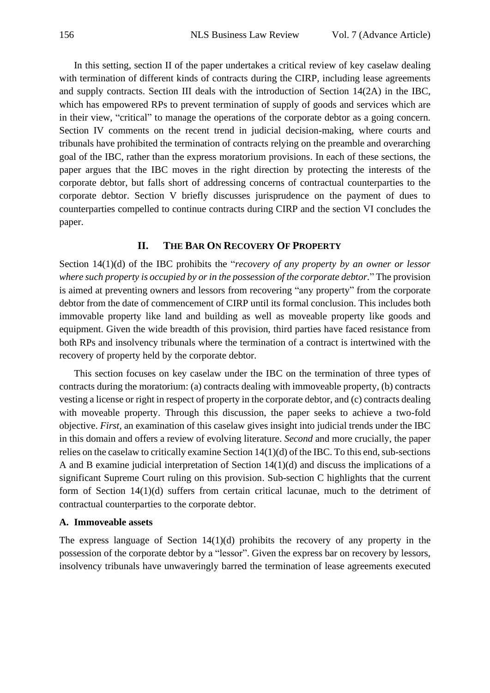In this setting, section II of the paper undertakes a critical review of key caselaw dealing with termination of different kinds of contracts during the CIRP, including lease agreements and supply contracts. Section III deals with the introduction of Section 14(2A) in the IBC, which has empowered RPs to prevent termination of supply of goods and services which are in their view, "critical" to manage the operations of the corporate debtor as a going concern. Section IV comments on the recent trend in judicial decision-making, where courts and tribunals have prohibited the termination of contracts relying on the preamble and overarching goal of the IBC, rather than the express moratorium provisions. In each of these sections, the paper argues that the IBC moves in the right direction by protecting the interests of the corporate debtor, but falls short of addressing concerns of contractual counterparties to the corporate debtor. Section V briefly discusses jurisprudence on the payment of dues to counterparties compelled to continue contracts during CIRP and the section VI concludes the paper.

## **II. THE BAR ON RECOVERY OF PROPERTY**

<span id="page-3-0"></span>Section 14(1)(d) of the IBC prohibits the "*recovery of any property by an owner or lessor where such property is occupied by or in the possession of the corporate debtor.*" The provision is aimed at preventing owners and lessors from recovering "any property" from the corporate debtor from the date of commencement of CIRP until its formal conclusion. This includes both immovable property like land and building as well as moveable property like goods and equipment. Given the wide breadth of this provision, third parties have faced resistance from both RPs and insolvency tribunals where the termination of a contract is intertwined with the recovery of property held by the corporate debtor.

This section focuses on key caselaw under the IBC on the termination of three types of contracts during the moratorium: (a) contracts dealing with immoveable property, (b) contracts vesting a license or right in respect of property in the corporate debtor, and (c) contracts dealing with moveable property. Through this discussion, the paper seeks to achieve a two-fold objective. *First*, an examination of this caselaw gives insight into judicial trends under the IBC in this domain and offers a review of evolving literature. *Second* and more crucially, the paper relies on the caselaw to critically examine Section 14(1)(d) of the IBC. To this end, sub-sections A and B examine judicial interpretation of Section 14(1)(d) and discuss the implications of a significant Supreme Court ruling on this provision. Sub-section C highlights that the current form of Section 14(1)(d) suffers from certain critical lacunae, much to the detriment of contractual counterparties to the corporate debtor.

### <span id="page-3-1"></span>**A. Immoveable assets**

The express language of Section  $14(1)(d)$  prohibits the recovery of any property in the possession of the corporate debtor by a "lessor". Given the express bar on recovery by lessors, insolvency tribunals have unwaveringly barred the termination of lease agreements executed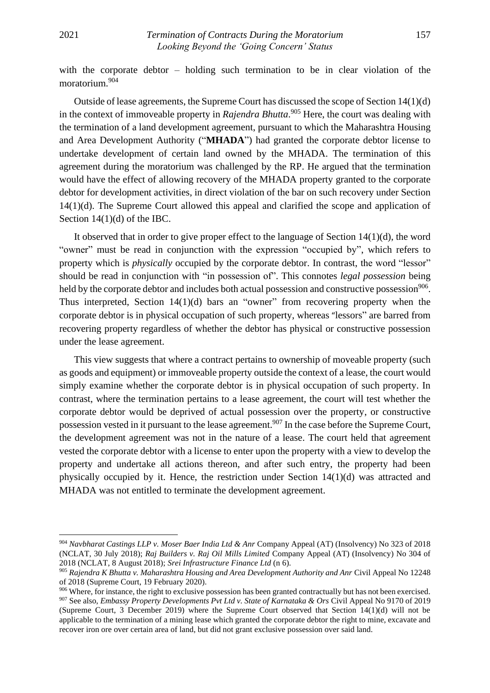with the corporate debtor – holding such termination to be in clear violation of the moratorium. 904

Outside of lease agreements, the Supreme Court has discussed the scope of Section 14(1)(d) in the context of immoveable property in *Rajendra Bhutta*. <sup>905</sup> Here, the court was dealing with the termination of a land development agreement, pursuant to which the Maharashtra Housing and Area Development Authority ("**MHADA**") had granted the corporate debtor license to undertake development of certain land owned by the MHADA. The termination of this agreement during the moratorium was challenged by the RP. He argued that the termination would have the effect of allowing recovery of the MHADA property granted to the corporate debtor for development activities, in direct violation of the bar on such recovery under Section 14(1)(d). The Supreme Court allowed this appeal and clarified the scope and application of Section 14(1)(d) of the IBC.

It observed that in order to give proper effect to the language of Section 14(1)(d), the word "owner" must be read in conjunction with the expression "occupied by", which refers to property which is *physically* occupied by the corporate debtor. In contrast, the word "lessor" should be read in conjunction with "in possession of". This connotes *legal possession* being held by the corporate debtor and includes both actual possession and constructive possession<sup>906</sup>. Thus interpreted, Section 14(1)(d) bars an "owner" from recovering property when the corporate debtor is in physical occupation of such property, whereas "lessors" are barred from recovering property regardless of whether the debtor has physical or constructive possession under the lease agreement.

This view suggests that where a contract pertains to ownership of moveable property (such as goods and equipment) or immoveable property outside the context of a lease, the court would simply examine whether the corporate debtor is in physical occupation of such property. In contrast, where the termination pertains to a lease agreement, the court will test whether the corporate debtor would be deprived of actual possession over the property, or constructive possession vested in it pursuant to the lease agreement.<sup>907</sup> In the case before the Supreme Court, the development agreement was not in the nature of a lease. The court held that agreement vested the corporate debtor with a license to enter upon the property with a view to develop the property and undertake all actions thereon, and after such entry, the property had been physically occupied by it. Hence, the restriction under Section 14(1)(d) was attracted and MHADA was not entitled to terminate the development agreement.

<sup>904</sup> *Navbharat Castings LLP v. Moser Baer India Ltd & Anr* Company Appeal (AT) (Insolvency) No 323 of 2018 (NCLAT, 30 July 2018); *Raj Builders v. Raj Oil Mills Limited* Company Appeal (AT) (Insolvency) No 304 of 2018 (NCLAT, 8 August 2018); *Srei Infrastructure Finance Ltd* (n 6).

<sup>905</sup> *Rajendra K Bhutta v. Maharashtra Housing and Area Development Authority and Anr* Civil Appeal No 12248 of 2018 (Supreme Court, 19 February 2020).

<sup>906</sup> Where, for instance, the right to exclusive possession has been granted contractually but has not been exercised. <sup>907</sup> See also, *Embassy Property Developments Pvt Ltd v. State of Karnataka & Ors* Civil Appeal No 9170 of 2019 (Supreme Court, 3 December 2019) where the Supreme Court observed that Section 14(1)(d) will not be applicable to the termination of a mining lease which granted the corporate debtor the right to mine, excavate and recover iron ore over certain area of land, but did not grant exclusive possession over said land.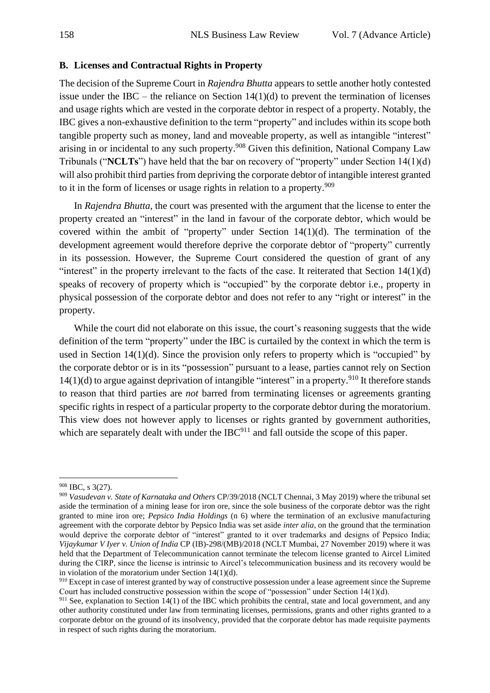### <span id="page-5-0"></span>**B. Licenses and Contractual Rights in Property**

The decision of the Supreme Court in *Rajendra Bhutta* appears to settle another hotly contested issue under the IBC – the reliance on Section  $14(1)(d)$  to prevent the termination of licenses and usage rights which are vested in the corporate debtor in respect of a property. Notably, the IBC gives a non-exhaustive definition to the term "property" and includes within its scope both tangible property such as money, land and moveable property, as well as intangible "interest" arising in or incidental to any such property.<sup>908</sup> Given this definition, National Company Law Tribunals ("**NCLTs**") have held that the bar on recovery of "property" under Section 14(1)(d) will also prohibit third parties from depriving the corporate debtor of intangible interest granted to it in the form of licenses or usage rights in relation to a property. 909

In *Rajendra Bhutta*, the court was presented with the argument that the license to enter the property created an "interest" in the land in favour of the corporate debtor, which would be covered within the ambit of "property" under Section 14(1)(d). The termination of the development agreement would therefore deprive the corporate debtor of "property" currently in its possession. However, the Supreme Court considered the question of grant of any "interest" in the property irrelevant to the facts of the case. It reiterated that Section  $14(1)(d)$ speaks of recovery of property which is "occupied" by the corporate debtor i.e., property in physical possession of the corporate debtor and does not refer to any "right or interest" in the property.

While the court did not elaborate on this issue, the court's reasoning suggests that the wide definition of the term "property" under the IBC is curtailed by the context in which the term is used in Section  $14(1)(d)$ . Since the provision only refers to property which is "occupied" by the corporate debtor or is in its "possession" pursuant to a lease, parties cannot rely on Section  $14(1)(d)$  to argue against deprivation of intangible "interest" in a property.<sup>910</sup> It therefore stands to reason that third parties are *not* barred from terminating licenses or agreements granting specific rights in respect of a particular property to the corporate debtor during the moratorium. This view does not however apply to licenses or rights granted by government authorities, which are separately dealt with under the IBC<sup>911</sup> and fall outside the scope of this paper.

<sup>908</sup> IBC, s 3(27).

<sup>909</sup> *Vasudevan v. State of Karnataka and Others* CP/39/2018 (NCLT Chennai, 3 May 2019) where the tribunal set aside the termination of a mining lease for iron ore, since the sole business of the corporate debtor was the right granted to mine iron ore; *Pepsico India Holdings* (n 6) where the termination of an exclusive manufacturing agreement with the corporate debtor by Pepsico India was set aside *inter alia*, on the ground that the termination would deprive the corporate debtor of "interest" granted to it over trademarks and designs of Pepsico India; *Vijaykumar V Iyer v. Union of India* CP (IB)-298/(MB)/2018 (NCLT Mumbai, 27 November 2019) where it was held that the Department of Telecommunication cannot terminate the telecom license granted to Aircel Limited during the CIRP, since the license is intrinsic to Aircel's telecommunication business and its recovery would be in violation of the moratorium under Section 14(1)(d).

<sup>&</sup>lt;sup>910</sup> Except in case of interest granted by way of constructive possession under a lease agreement since the Supreme Court has included constructive possession within the scope of "possession" under Section 14(1)(d).

<sup>&</sup>lt;sup>911</sup> See, explanation to Section  $14(1)$  of the IBC which prohibits the central, state and local government, and any other authority constituted under law from terminating licenses, permissions, grants and other rights granted to a corporate debtor on the ground of its insolvency, provided that the corporate debtor has made requisite payments in respect of such rights during the moratorium.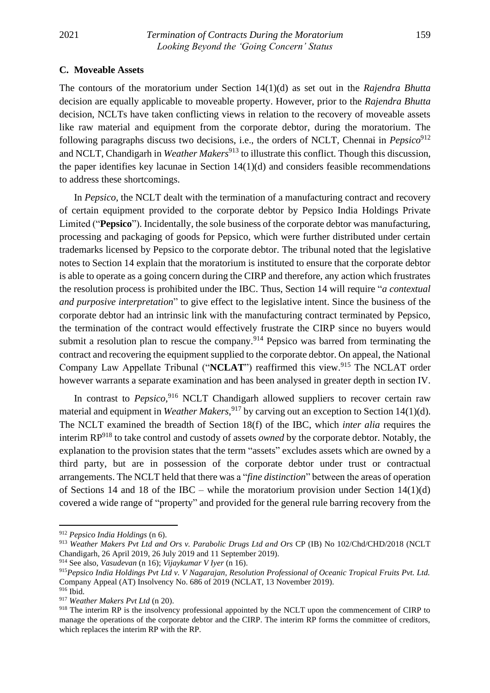#### <span id="page-6-0"></span>**C. Moveable Assets**

The contours of the moratorium under Section 14(1)(d) as set out in the *Rajendra Bhutta* decision are equally applicable to moveable property. However, prior to the *Rajendra Bhutta* decision, NCLTs have taken conflicting views in relation to the recovery of moveable assets like raw material and equipment from the corporate debtor, during the moratorium. The following paragraphs discuss two decisions, i.e., the orders of NCLT, Chennai in *Pepsico*<sup>912</sup> and NCLT, Chandigarh in *Weather Makers*<sup>913</sup> to illustrate this conflict. Though this discussion, the paper identifies key lacunae in Section 14(1)(d) and considers feasible recommendations to address these shortcomings.

In *Pepsico*, the NCLT dealt with the termination of a manufacturing contract and recovery of certain equipment provided to the corporate debtor by Pepsico India Holdings Private Limited ("**Pepsico**"). Incidentally, the sole business of the corporate debtor was manufacturing, processing and packaging of goods for Pepsico, which were further distributed under certain trademarks licensed by Pepsico to the corporate debtor. The tribunal noted that the legislative notes to Section 14 explain that the moratorium is instituted to ensure that the corporate debtor is able to operate as a going concern during the CIRP and therefore, any action which frustrates the resolution process is prohibited under the IBC. Thus, Section 14 will require "*a contextual and purposive interpretation*" to give effect to the legislative intent. Since the business of the corporate debtor had an intrinsic link with the manufacturing contract terminated by Pepsico, the termination of the contract would effectively frustrate the CIRP since no buyers would submit a resolution plan to rescue the company.<sup>914</sup> Pepsico was barred from terminating the contract and recovering the equipment supplied to the corporate debtor. On appeal, the National Company Law Appellate Tribunal ("NCLAT") reaffirmed this view.<sup>915</sup> The NCLAT order however warrants a separate examination and has been analysed in greater depth in section IV.

In contrast to *Pepsico*,<sup>916</sup> NCLT Chandigarh allowed suppliers to recover certain raw material and equipment in *Weather Makers*, <sup>917</sup> by carving out an exception to Section 14(1)(d). The NCLT examined the breadth of Section 18(f) of the IBC, which *inter alia* requires the interim RP<sup>918</sup> to take control and custody of assets *owned* by the corporate debtor. Notably, the explanation to the provision states that the term "assets" excludes assets which are owned by a third party, but are in possession of the corporate debtor under trust or contractual arrangements. The NCLT held that there was a "*fine distinction*" between the areas of operation of Sections 14 and 18 of the IBC – while the moratorium provision under Section  $14(1)(d)$ covered a wide range of "property" and provided for the general rule barring recovery from the

<sup>912</sup> *Pepsico India Holdings* (n 6).

<sup>913</sup> *Weather Makers Pvt Ltd and Ors v. Parabolic Drugs Ltd and Ors* CP (IB) No 102/Chd/CHD/2018 (NCLT Chandigarh, 26 April 2019, 26 July 2019 and 11 September 2019).

<sup>914</sup> See also, *Vasudevan* (n 16); *Vijaykumar V Iyer* (n 16).

<sup>915</sup>*Pepsico India Holdings Pvt Ltd v. V Nagarajan, Resolution Professional of Oceanic Tropical Fruits Pvt. Ltd.* Company Appeal (AT) Insolvency No. 686 of 2019 (NCLAT, 13 November 2019). <sup>916</sup> Ibid.

<sup>917</sup> *Weather Makers Pvt Ltd* (n 20).

<sup>&</sup>lt;sup>918</sup> The interim RP is the insolvency professional appointed by the NCLT upon the commencement of CIRP to manage the operations of the corporate debtor and the CIRP. The interim RP forms the committee of creditors, which replaces the interim RP with the RP.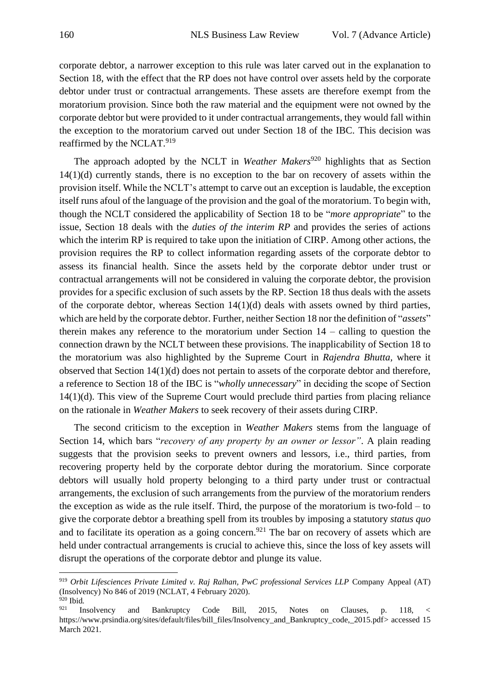corporate debtor, a narrower exception to this rule was later carved out in the explanation to Section 18, with the effect that the RP does not have control over assets held by the corporate debtor under trust or contractual arrangements. These assets are therefore exempt from the moratorium provision. Since both the raw material and the equipment were not owned by the corporate debtor but were provided to it under contractual arrangements, they would fall within the exception to the moratorium carved out under Section 18 of the IBC. This decision was reaffirmed by the NCLAT.<sup>919</sup>

The approach adopted by the NCLT in *Weather Makers*<sup>920</sup> highlights that as Section 14(1)(d) currently stands, there is no exception to the bar on recovery of assets within the provision itself. While the NCLT's attempt to carve out an exception is laudable, the exception itself runs afoul of the language of the provision and the goal of the moratorium. To begin with, though the NCLT considered the applicability of Section 18 to be "*more appropriate*" to the issue, Section 18 deals with the *duties of the interim RP* and provides the series of actions which the interim RP is required to take upon the initiation of CIRP. Among other actions, the provision requires the RP to collect information regarding assets of the corporate debtor to assess its financial health. Since the assets held by the corporate debtor under trust or contractual arrangements will not be considered in valuing the corporate debtor, the provision provides for a specific exclusion of such assets by the RP. Section 18 thus deals with the assets of the corporate debtor, whereas Section 14(1)(d) deals with assets owned by third parties, which are held by the corporate debtor. Further, neither Section 18 nor the definition of "*assets*" therein makes any reference to the moratorium under Section 14 – calling to question the connection drawn by the NCLT between these provisions. The inapplicability of Section 18 to the moratorium was also highlighted by the Supreme Court in *Rajendra Bhutta,* where it observed that Section 14(1)(d) does not pertain to assets of the corporate debtor and therefore, a reference to Section 18 of the IBC is "*wholly unnecessary*" in deciding the scope of Section 14(1)(d). This view of the Supreme Court would preclude third parties from placing reliance on the rationale in *Weather Makers* to seek recovery of their assets during CIRP.

The second criticism to the exception in *Weather Makers* stems from the language of Section 14, which bars "*recovery of any property by an owner or lessor"*. A plain reading suggests that the provision seeks to prevent owners and lessors, i.e., third parties, from recovering property held by the corporate debtor during the moratorium. Since corporate debtors will usually hold property belonging to a third party under trust or contractual arrangements, the exclusion of such arrangements from the purview of the moratorium renders the exception as wide as the rule itself. Third, the purpose of the moratorium is two-fold – to give the corporate debtor a breathing spell from its troubles by imposing a statutory *status quo* and to facilitate its operation as a going concern.<sup>921</sup> The bar on recovery of assets which are held under contractual arrangements is crucial to achieve this, since the loss of key assets will disrupt the operations of the corporate debtor and plunge its value.

<sup>919</sup> *Orbit Lifesciences Private Limited v. Raj Ralhan, PwC professional Services LLP* Company Appeal (AT) (Insolvency) No 846 of 2019 (NCLAT, 4 February 2020). <sup>920</sup> Ibid*.*

 $921$  Insolvency and Bankruptcy Code Bill, 2015, Notes on Clauses, p. 118, < [https://www.prsindia.org/sites/default/files/bill\\_files/Insolvency\\_and\\_Bankruptcy\\_code,\\_2015.pdf>](https://www.prsindia.org/sites/default/files/bill_files/Insolvency_and_Bankruptcy_code,_2015.pdf) accessed 15 March 2021.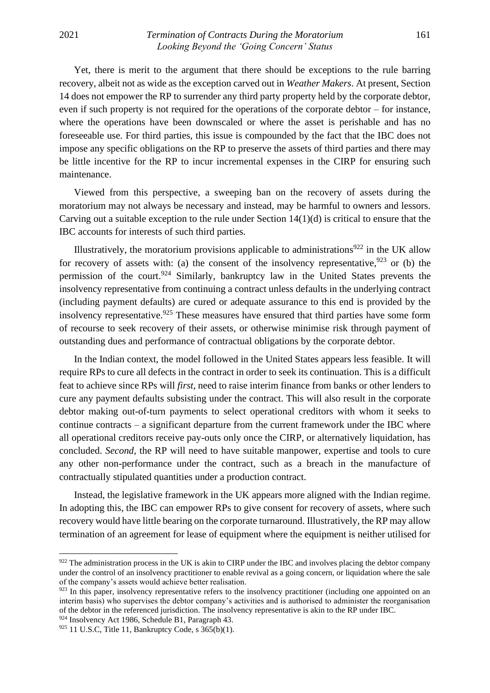Yet, there is merit to the argument that there should be exceptions to the rule barring recovery, albeit not as wide as the exception carved out in *Weather Makers*. At present, Section 14 does not empower the RP to surrender any third party property held by the corporate debtor, even if such property is not required for the operations of the corporate debtor – for instance, where the operations have been downscaled or where the asset is perishable and has no foreseeable use. For third parties, this issue is compounded by the fact that the IBC does not impose any specific obligations on the RP to preserve the assets of third parties and there may be little incentive for the RP to incur incremental expenses in the CIRP for ensuring such maintenance.

Viewed from this perspective, a sweeping ban on the recovery of assets during the moratorium may not always be necessary and instead, may be harmful to owners and lessors. Carving out a suitable exception to the rule under Section  $14(1)(d)$  is critical to ensure that the IBC accounts for interests of such third parties.

Illustratively, the moratorium provisions applicable to administrations<sup>922</sup> in the UK allow for recovery of assets with: (a) the consent of the insolvency representative,  $923$  or (b) the permission of the court.<sup>924</sup> Similarly, bankruptcy law in the United States prevents the insolvency representative from continuing a contract unless defaults in the underlying contract (including payment defaults) are cured or adequate assurance to this end is provided by the insolvency representative.<sup>925</sup> These measures have ensured that third parties have some form of recourse to seek recovery of their assets, or otherwise minimise risk through payment of outstanding dues and performance of contractual obligations by the corporate debtor.

In the Indian context, the model followed in the United States appears less feasible. It will require RPs to cure all defects in the contract in order to seek its continuation. This is a difficult feat to achieve since RPs will *first*, need to raise interim finance from banks or other lenders to cure any payment defaults subsisting under the contract. This will also result in the corporate debtor making out-of-turn payments to select operational creditors with whom it seeks to continue contracts – a significant departure from the current framework under the IBC where all operational creditors receive pay-outs only once the CIRP, or alternatively liquidation, has concluded. *Second*, the RP will need to have suitable manpower, expertise and tools to cure any other non-performance under the contract, such as a breach in the manufacture of contractually stipulated quantities under a production contract.

Instead, the legislative framework in the UK appears more aligned with the Indian regime. In adopting this, the IBC can empower RPs to give consent for recovery of assets, where such recovery would have little bearing on the corporate turnaround. Illustratively, the RP may allow termination of an agreement for lease of equipment where the equipment is neither utilised for

<sup>922</sup> The administration process in the UK is akin to CIRP under the IBC and involves placing the debtor company under the control of an insolvency practitioner to enable revival as a going concern, or liquidation where the sale of the company's assets would achieve better realisation.

 $923$  In this paper, insolvency representative refers to the insolvency practitioner (including one appointed on an interim basis) who supervises the debtor company's activities and is authorised to administer the reorganisation of the debtor in the referenced jurisdiction. The insolvency representative is akin to the RP under IBC.

<sup>924</sup> Insolvency Act 1986, Schedule B1, Paragraph 43.

 $925$  11 U.S.C, Title 11, Bankruptcy Code, s  $365(b)(1)$ .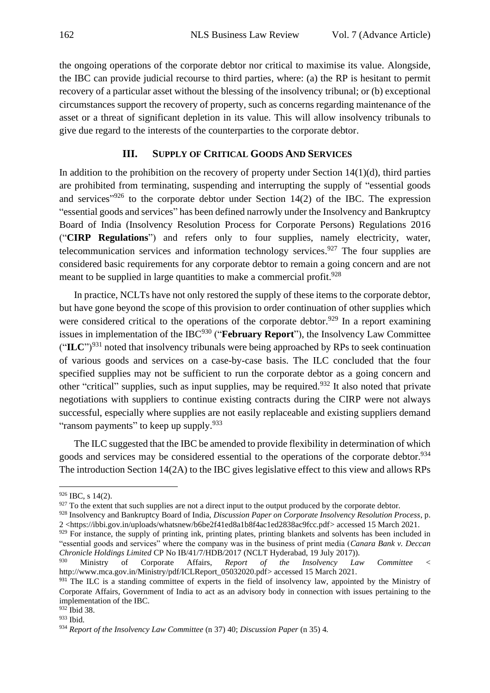the ongoing operations of the corporate debtor nor critical to maximise its value. Alongside, the IBC can provide judicial recourse to third parties, where: (a) the RP is hesitant to permit recovery of a particular asset without the blessing of the insolvency tribunal; or (b) exceptional circumstances support the recovery of property, such as concerns regarding maintenance of the asset or a threat of significant depletion in its value. This will allow insolvency tribunals to give due regard to the interests of the counterparties to the corporate debtor.

## **III. SUPPLY OF CRITICAL GOODS AND SERVICES**

<span id="page-9-0"></span>In addition to the prohibition on the recovery of property under Section  $14(1)(d)$ , third parties are prohibited from terminating, suspending and interrupting the supply of "essential goods and services<sup> $14(2)$ </sup> to the corporate debtor under Section 14(2) of the IBC. The expression "essential goods and services" has been defined narrowly under the Insolvency and Bankruptcy Board of India (Insolvency Resolution Process for Corporate Persons) Regulations 2016 ("**CIRP Regulations**") and refers only to four supplies, namely electricity, water, telecommunication services and information technology services.<sup>927</sup> The four supplies are considered basic requirements for any corporate debtor to remain a going concern and are not meant to be supplied in large quantities to make a commercial profit.<sup>928</sup>

In practice, NCLTs have not only restored the supply of these items to the corporate debtor, but have gone beyond the scope of this provision to order continuation of other supplies which were considered critical to the operations of the corporate debtor.<sup>929</sup> In a report examining issues in implementation of the IBC<sup>930</sup> ("**February Report**"), the Insolvency Law Committee ("**ILC**")<sup>931</sup> noted that insolvency tribunals were being approached by RPs to seek continuation of various goods and services on a case-by-case basis. The ILC concluded that the four specified supplies may not be sufficient to run the corporate debtor as a going concern and other "critical" supplies, such as input supplies, may be required.<sup>932</sup> It also noted that private negotiations with suppliers to continue existing contracts during the CIRP were not always successful, especially where supplies are not easily replaceable and existing suppliers demand "ransom payments" to keep up supply.<sup>933</sup>

The ILC suggested that the IBC be amended to provide flexibility in determination of which goods and services may be considered essential to the operations of the corporate debtor.<sup>934</sup> The introduction Section 14(2A) to the IBC gives legislative effect to this view and allows RPs

 $926$  IBC, s 14(2).

 $927$  To the extent that such supplies are not a direct input to the output produced by the corporate debtor.

<sup>928</sup> Insolvency and Bankruptcy Board of India, *Discussion Paper on Corporate Insolvency Resolution Process*, p. 2 [<https://ibbi.gov.in/uploads/whatsnew/b6be2f41ed8a1b8f4ac1ed2838ac9fcc.pdf>](https://ibbi.gov.in/uploads/whatsnew/b6be2f41ed8a1b8f4ac1ed2838ac9fcc.pdf) accessed 15 March 2021.

<sup>929</sup> For instance, the supply of printing ink, printing plates, printing blankets and solvents has been included in "essential goods and services" where the company was in the business of print media (*Canara Bank v. Deccan Chronicle Holdings Limited* CP No IB/41/7/HDB/2017 (NCLT Hyderabad, 19 July 2017)).

<sup>930</sup> Ministry of Corporate Affairs, *Report of the Insolvency Law Committee* < [http://www.mca.gov.in/Ministry/pdf/ICLReport\\_05032020.pdf>](http://www.mca.gov.in/Ministry/pdf/ICLReport_05032020.pdf) accessed 15 March 2021.

<sup>931</sup> The ILC is a standing committee of experts in the field of insolvency law, appointed by the Ministry of Corporate Affairs, Government of India to act as an advisory body in connection with issues pertaining to the implementation of the IBC.

<sup>932</sup> Ibid 38. <sup>933</sup> Ibid.

<sup>934</sup> *Report of the Insolvency Law Committee* (n 37) 40; *Discussion Paper* (n 35) 4*.*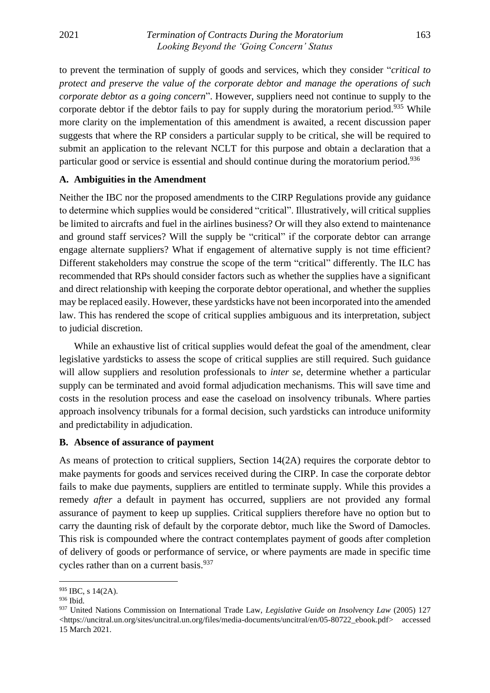to prevent the termination of supply of goods and services, which they consider "*critical to protect and preserve the value of the corporate debtor and manage the operations of such corporate debtor as a going concern*". However, suppliers need not continue to supply to the corporate debtor if the debtor fails to pay for supply during the moratorium period.<sup>935</sup> While more clarity on the implementation of this amendment is awaited, a recent discussion paper suggests that where the RP considers a particular supply to be critical, she will be required to submit an application to the relevant NCLT for this purpose and obtain a declaration that a particular good or service is essential and should continue during the moratorium period.<sup>936</sup>

#### <span id="page-10-0"></span>**A. Ambiguities in the Amendment**

Neither the IBC nor the proposed amendments to the CIRP Regulations provide any guidance to determine which supplies would be considered "critical". Illustratively, will critical supplies be limited to aircrafts and fuel in the airlines business? Or will they also extend to maintenance and ground staff services? Will the supply be "critical" if the corporate debtor can arrange engage alternate suppliers? What if engagement of alternative supply is not time efficient? Different stakeholders may construe the scope of the term "critical" differently. The ILC has recommended that RPs should consider factors such as whether the supplies have a significant and direct relationship with keeping the corporate debtor operational, and whether the supplies may be replaced easily. However, these yardsticks have not been incorporated into the amended law. This has rendered the scope of critical supplies ambiguous and its interpretation, subject to judicial discretion.

While an exhaustive list of critical supplies would defeat the goal of the amendment, clear legislative yardsticks to assess the scope of critical supplies are still required. Such guidance will allow suppliers and resolution professionals to *inter se*, determine whether a particular supply can be terminated and avoid formal adjudication mechanisms. This will save time and costs in the resolution process and ease the caseload on insolvency tribunals. Where parties approach insolvency tribunals for a formal decision, such yardsticks can introduce uniformity and predictability in adjudication.

### <span id="page-10-1"></span>**B. Absence of assurance of payment**

As means of protection to critical suppliers, Section 14(2A) requires the corporate debtor to make payments for goods and services received during the CIRP. In case the corporate debtor fails to make due payments, suppliers are entitled to terminate supply. While this provides a remedy *after* a default in payment has occurred, suppliers are not provided any formal assurance of payment to keep up supplies. Critical suppliers therefore have no option but to carry the daunting risk of default by the corporate debtor, much like the Sword of Damocles. This risk is compounded where the contract contemplates payment of goods after completion of delivery of goods or performance of service, or where payments are made in specific time cycles rather than on a current basis.<sup>937</sup>

<sup>&</sup>lt;sup>935</sup> IBC, s 14(2A).

<sup>936</sup> Ibid.

<sup>937</sup> United Nations Commission on International Trade Law, *Legislative Guide on Insolvency Law* (2005) 127 <https://uncitral.un.org/sites/uncitral.un.org/files/media-documents/uncitral/en/05-80722\_ebook.pdf> accessed 15 March 2021.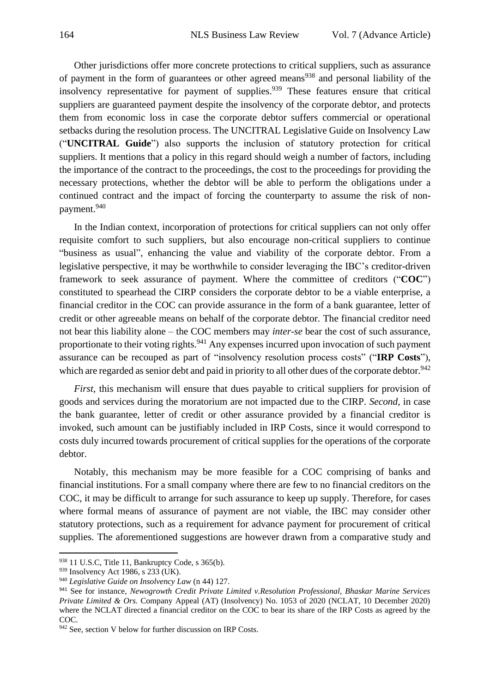Other jurisdictions offer more concrete protections to critical suppliers, such as assurance of payment in the form of guarantees or other agreed means<sup>938</sup> and personal liability of the insolvency representative for payment of supplies.<sup>939</sup> These features ensure that critical suppliers are guaranteed payment despite the insolvency of the corporate debtor, and protects them from economic loss in case the corporate debtor suffers commercial or operational setbacks during the resolution process. The UNCITRAL Legislative Guide on Insolvency Law ("**UNCITRAL Guide**") also supports the inclusion of statutory protection for critical suppliers. It mentions that a policy in this regard should weigh a number of factors, including the importance of the contract to the proceedings, the cost to the proceedings for providing the necessary protections, whether the debtor will be able to perform the obligations under a continued contract and the impact of forcing the counterparty to assume the risk of nonpayment.<sup>940</sup>

In the Indian context, incorporation of protections for critical suppliers can not only offer requisite comfort to such suppliers, but also encourage non-critical suppliers to continue "business as usual", enhancing the value and viability of the corporate debtor. From a legislative perspective, it may be worthwhile to consider leveraging the IBC's creditor-driven framework to seek assurance of payment. Where the committee of creditors ("**COC**") constituted to spearhead the CIRP considers the corporate debtor to be a viable enterprise, a financial creditor in the COC can provide assurance in the form of a bank guarantee, letter of credit or other agreeable means on behalf of the corporate debtor. The financial creditor need not bear this liability alone – the COC members may *inter-se* bear the cost of such assurance, proportionate to their voting rights.<sup>941</sup> Any expenses incurred upon invocation of such payment assurance can be recouped as part of "insolvency resolution process costs" ("**IRP Costs**"), which are regarded as senior debt and paid in priority to all other dues of the corporate debtor.<sup>942</sup>

*First*, this mechanism will ensure that dues payable to critical suppliers for provision of goods and services during the moratorium are not impacted due to the CIRP. *Second*, in case the bank guarantee, letter of credit or other assurance provided by a financial creditor is invoked, such amount can be justifiably included in IRP Costs, since it would correspond to costs duly incurred towards procurement of critical supplies for the operations of the corporate debtor.

Notably, this mechanism may be more feasible for a COC comprising of banks and financial institutions. For a small company where there are few to no financial creditors on the COC, it may be difficult to arrange for such assurance to keep up supply. Therefore, for cases where formal means of assurance of payment are not viable, the IBC may consider other statutory protections, such as a requirement for advance payment for procurement of critical supplies. The aforementioned suggestions are however drawn from a comparative study and

<sup>938 11</sup> U.S.C, Title 11, Bankruptcy Code, s 365(b).

<sup>939</sup> Insolvency Act 1986, s 233 (UK).

<sup>940</sup> *Legislative Guide on Insolvency Law* (n 44) 127.

<sup>941</sup> See for instance, *Newogrowth Credit Private Limited v.Resolution Professional, Bhaskar Marine Services Private Limited & Ors.* Company Appeal (AT) (Insolvency) No. 1053 of 2020 (NCLAT, 10 December 2020) where the NCLAT directed a financial creditor on the COC to bear its share of the IRP Costs as agreed by the COC.

<sup>&</sup>lt;sup>942</sup> See, section V below for further discussion on IRP Costs.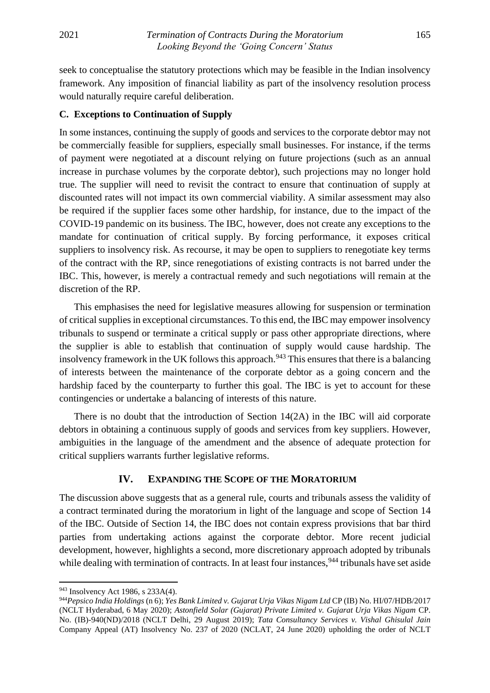seek to conceptualise the statutory protections which may be feasible in the Indian insolvency framework. Any imposition of financial liability as part of the insolvency resolution process would naturally require careful deliberation.

## <span id="page-12-0"></span>**C. Exceptions to Continuation of Supply**

In some instances, continuing the supply of goods and services to the corporate debtor may not be commercially feasible for suppliers, especially small businesses. For instance, if the terms of payment were negotiated at a discount relying on future projections (such as an annual increase in purchase volumes by the corporate debtor), such projections may no longer hold true. The supplier will need to revisit the contract to ensure that continuation of supply at discounted rates will not impact its own commercial viability. A similar assessment may also be required if the supplier faces some other hardship, for instance, due to the impact of the COVID-19 pandemic on its business. The IBC, however, does not create any exceptions to the mandate for continuation of critical supply. By forcing performance, it exposes critical suppliers to insolvency risk. As recourse, it may be open to suppliers to renegotiate key terms of the contract with the RP, since renegotiations of existing contracts is not barred under the IBC. This, however, is merely a contractual remedy and such negotiations will remain at the discretion of the RP.

This emphasises the need for legislative measures allowing for suspension or termination of critical supplies in exceptional circumstances. To this end, the IBC may empower insolvency tribunals to suspend or terminate a critical supply or pass other appropriate directions, where the supplier is able to establish that continuation of supply would cause hardship. The insolvency framework in the UK follows this approach.<sup>943</sup> This ensures that there is a balancing of interests between the maintenance of the corporate debtor as a going concern and the hardship faced by the counterparty to further this goal. The IBC is yet to account for these contingencies or undertake a balancing of interests of this nature.

There is no doubt that the introduction of Section 14(2A) in the IBC will aid corporate debtors in obtaining a continuous supply of goods and services from key suppliers. However, ambiguities in the language of the amendment and the absence of adequate protection for critical suppliers warrants further legislative reforms.

#### **IV. EXPANDING THE SCOPE OF THE MORATORIUM**

<span id="page-12-1"></span>The discussion above suggests that as a general rule, courts and tribunals assess the validity of a contract terminated during the moratorium in light of the language and scope of Section 14 of the IBC. Outside of Section 14, the IBC does not contain express provisions that bar third parties from undertaking actions against the corporate debtor. More recent judicial development, however, highlights a second, more discretionary approach adopted by tribunals while dealing with termination of contracts. In at least four instances, <sup>944</sup> tribunals have set aside

<sup>943</sup> Insolvency Act 1986, s 233A(4).

<sup>944</sup>*Pepsico India Holdings* (n 6); *Yes Bank Limited v. Gujarat Urja Vikas Nigam Ltd* CP (IB) No. HI/07/HDB/2017 (NCLT Hyderabad, 6 May 2020); *Astonfield Solar (Gujarat) Private Limited v. Gujarat Urja Vikas Nigam* CP. No. (IB)-940(ND)/2018 (NCLT Delhi, 29 August 2019); *Tata Consultancy Services v. Vishal Ghisulal Jain*  Company Appeal (AT) Insolvency No. 237 of 2020 (NCLAT, 24 June 2020) upholding the order of NCLT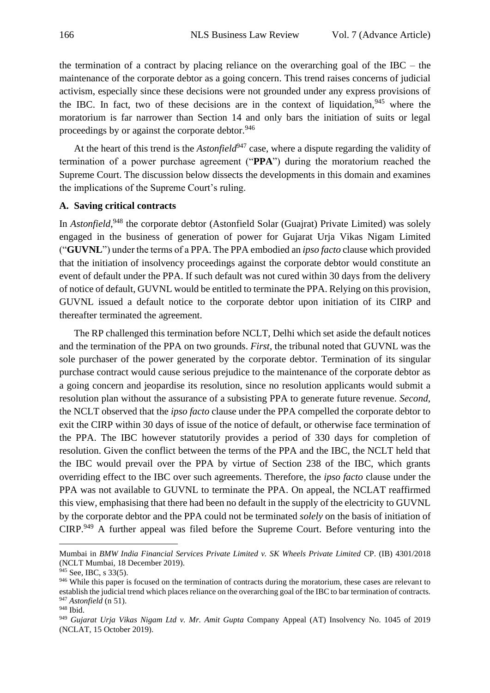the termination of a contract by placing reliance on the overarching goal of the IBC – the maintenance of the corporate debtor as a going concern. This trend raises concerns of judicial activism, especially since these decisions were not grounded under any express provisions of the IBC. In fact, two of these decisions are in the context of liquidation.<sup>945</sup> where the moratorium is far narrower than Section 14 and only bars the initiation of suits or legal proceedings by or against the corporate debtor.<sup>946</sup>

At the heart of this trend is the *Astonfield*<sup>947</sup> case, where a dispute regarding the validity of termination of a power purchase agreement ("**PPA**") during the moratorium reached the Supreme Court. The discussion below dissects the developments in this domain and examines the implications of the Supreme Court's ruling.

### <span id="page-13-0"></span>**A. Saving critical contracts**

In *Astonfield*,<sup>948</sup> the corporate debtor (Astonfield Solar (Guajrat) Private Limited) was solely engaged in the business of generation of power for Gujarat Urja Vikas Nigam Limited ("**GUVNL**") under the terms of a PPA. The PPA embodied an *ipso facto* clause which provided that the initiation of insolvency proceedings against the corporate debtor would constitute an event of default under the PPA. If such default was not cured within 30 days from the delivery of notice of default, GUVNL would be entitled to terminate the PPA. Relying on this provision, GUVNL issued a default notice to the corporate debtor upon initiation of its CIRP and thereafter terminated the agreement.

The RP challenged this termination before NCLT, Delhi which set aside the default notices and the termination of the PPA on two grounds. *First*, the tribunal noted that GUVNL was the sole purchaser of the power generated by the corporate debtor. Termination of its singular purchase contract would cause serious prejudice to the maintenance of the corporate debtor as a going concern and jeopardise its resolution, since no resolution applicants would submit a resolution plan without the assurance of a subsisting PPA to generate future revenue. *Second*, the NCLT observed that the *ipso facto* clause under the PPA compelled the corporate debtor to exit the CIRP within 30 days of issue of the notice of default, or otherwise face termination of the PPA. The IBC however statutorily provides a period of 330 days for completion of resolution. Given the conflict between the terms of the PPA and the IBC, the NCLT held that the IBC would prevail over the PPA by virtue of Section 238 of the IBC, which grants overriding effect to the IBC over such agreements. Therefore, the *ipso facto* clause under the PPA was not available to GUVNL to terminate the PPA. On appeal, the NCLAT reaffirmed this view, emphasising that there had been no default in the supply of the electricity to GUVNL by the corporate debtor and the PPA could not be terminated *solely* on the basis of initiation of CIRP.<sup>949</sup> A further appeal was filed before the Supreme Court. Before venturing into the

Mumbai in *BMW India Financial Services Private Limited v. SK Wheels Private Limited* CP. (IB) 4301/2018 (NCLT Mumbai, 18 December 2019).

<sup>945</sup> See, IBC, s 33(5).

<sup>946</sup> While this paper is focused on the termination of contracts during the moratorium, these cases are relevant to establish the judicial trend which places reliance on the overarching goal of the IBC to bar termination of contracts. <sup>947</sup> *Astonfield* (n 51).

<sup>948</sup> Ibid.

<sup>949</sup> *Gujarat Urja Vikas Nigam Ltd v. Mr. Amit Gupta* Company Appeal (AT) Insolvency No. 1045 of 2019 (NCLAT, 15 October 2019).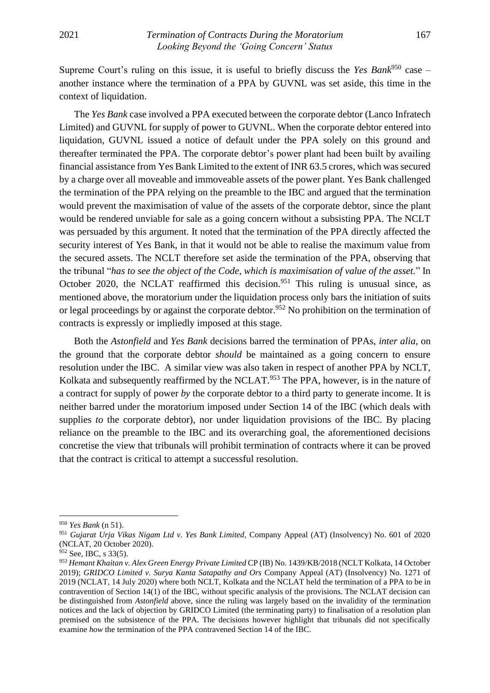Supreme Court's ruling on this issue, it is useful to briefly discuss the *Yes Bank*<sup>950</sup> case – another instance where the termination of a PPA by GUVNL was set aside, this time in the context of liquidation.

The *Yes Bank* case involved a PPA executed between the corporate debtor (Lanco Infratech Limited) and GUVNL for supply of power to GUVNL. When the corporate debtor entered into liquidation, GUVNL issued a notice of default under the PPA solely on this ground and thereafter terminated the PPA. The corporate debtor's power plant had been built by availing financial assistance from Yes Bank Limited to the extent of INR 63.5 crores, which was secured by a charge over all moveable and immoveable assets of the power plant. Yes Bank challenged the termination of the PPA relying on the preamble to the IBC and argued that the termination would prevent the maximisation of value of the assets of the corporate debtor, since the plant would be rendered unviable for sale as a going concern without a subsisting PPA. The NCLT was persuaded by this argument. It noted that the termination of the PPA directly affected the security interest of Yes Bank, in that it would not be able to realise the maximum value from the secured assets. The NCLT therefore set aside the termination of the PPA, observing that the tribunal "*has to see the object of the Code, which is maximisation of value of the asset.*" In October 2020, the NCLAT reaffirmed this decision.<sup>951</sup> This ruling is unusual since, as mentioned above, the moratorium under the liquidation process only bars the initiation of suits or legal proceedings by or against the corporate debtor.<sup>952</sup> No prohibition on the termination of contracts is expressly or impliedly imposed at this stage.

Both the *Astonfield* and *Yes Bank* decisions barred the termination of PPAs, *inter alia*, on the ground that the corporate debtor *should* be maintained as a going concern to ensure resolution under the IBC. A similar view was also taken in respect of another PPA by NCLT, Kolkata and subsequently reaffirmed by the NCLAT.<sup>953</sup> The PPA, however, is in the nature of a contract for supply of power *by* the corporate debtor to a third party to generate income. It is neither barred under the moratorium imposed under Section 14 of the IBC (which deals with supplies *to* the corporate debtor), nor under liquidation provisions of the IBC. By placing reliance on the preamble to the IBC and its overarching goal, the aforementioned decisions concretise the view that tribunals will prohibit termination of contracts where it can be proved that the contract is critical to attempt a successful resolution.

<sup>950</sup> *Yes Bank* (n 51).

<sup>951</sup> *Gujarat Urja Vikas Nigam Ltd v. Yes Bank Limited,* Company Appeal (AT) (Insolvency) No. 601 of 2020 (NCLAT, 20 October 2020).

<sup>952</sup> See, IBC, s 33(5).

<sup>953</sup> *Hemant Khaitan v. Alex Green Energy Private Limited* CP (IB) No. 1439/KB/2018 (NCLT Kolkata, 14 October 2019); *GRIDCO Limited v. Surya Kanta Satapathy and Ors* Company Appeal (AT) (Insolvency) No. 1271 of 2019 (NCLAT, 14 July 2020) where both NCLT, Kolkata and the NCLAT held the termination of a PPA to be in contravention of Section 14(1) of the IBC, without specific analysis of the provisions. The NCLAT decision can be distinguished from *Astonfield* above, since the ruling was largely based on the invalidity of the termination notices and the lack of objection by GRIDCO Limited (the terminating party) to finalisation of a resolution plan premised on the subsistence of the PPA. The decisions however highlight that tribunals did not specifically examine *how* the termination of the PPA contravened Section 14 of the IBC.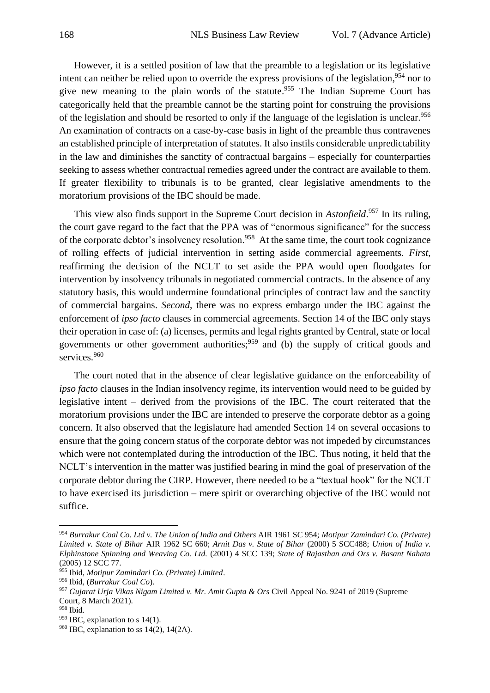However, it is a settled position of law that the preamble to a legislation or its legislative intent can neither be relied upon to override the express provisions of the legislation,<sup>954</sup> nor to give new meaning to the plain words of the statute. <sup>955</sup> The Indian Supreme Court has categorically held that the preamble cannot be the starting point for construing the provisions of the legislation and should be resorted to only if the language of the legislation is unclear.<sup>956</sup> An examination of contracts on a case-by-case basis in light of the preamble thus contravenes an established principle of interpretation of statutes. It also instils considerable unpredictability in the law and diminishes the sanctity of contractual bargains – especially for counterparties seeking to assess whether contractual remedies agreed under the contract are available to them. If greater flexibility to tribunals is to be granted, clear legislative amendments to the moratorium provisions of the IBC should be made.

This view also finds support in the Supreme Court decision in *Astonfield*. <sup>957</sup> In its ruling, the court gave regard to the fact that the PPA was of "enormous significance" for the success of the corporate debtor's insolvency resolution.<sup>958</sup> At the same time, the court took cognizance of rolling effects of judicial intervention in setting aside commercial agreements. *First*, reaffirming the decision of the NCLT to set aside the PPA would open floodgates for intervention by insolvency tribunals in negotiated commercial contracts. In the absence of any statutory basis, this would undermine foundational principles of contract law and the sanctity of commercial bargains. *Second*, there was no express embargo under the IBC against the enforcement of *ipso facto* clauses in commercial agreements. Section 14 of the IBC only stays their operation in case of: (a) licenses, permits and legal rights granted by Central, state or local governments or other government authorities;  $959$  and (b) the supply of critical goods and services.<sup>960</sup>

The court noted that in the absence of clear legislative guidance on the enforceability of *ipso facto* clauses in the Indian insolvency regime, its intervention would need to be guided by legislative intent – derived from the provisions of the IBC. The court reiterated that the moratorium provisions under the IBC are intended to preserve the corporate debtor as a going concern. It also observed that the legislature had amended Section 14 on several occasions to ensure that the going concern status of the corporate debtor was not impeded by circumstances which were not contemplated during the introduction of the IBC. Thus noting, it held that the NCLT's intervention in the matter was justified bearing in mind the goal of preservation of the corporate debtor during the CIRP. However, there needed to be a "textual hook" for the NCLT to have exercised its jurisdiction – mere spirit or overarching objective of the IBC would not suffice.

<sup>954</sup> *Burrakur Coal Co. Ltd v. The Union of India and Others* AIR 1961 SC 954; *Motipur Zamindari Co. (Private) Limited v. State of Bihar* AIR 1962 SC 660; *Arnit Das v. State of Bihar* (2000) 5 SCC488; *Union of India v. Elphinstone Spinning and Weaving Co. Ltd.* (2001) 4 SCC 139; *State of Rajasthan and Ors v. Basant Nahata* (2005) 12 SCC 77.

<sup>955</sup> Ibid, *Motipur Zamindari Co. (Private) Limited*.

<sup>956</sup> Ibid*,* (*Burrakur Coal Co*).

<sup>957</sup> *Gujarat Urja Vikas Nigam Limited v. Mr. Amit Gupta & Ors* Civil Appeal No. 9241 of 2019 (Supreme Court, 8 March 2021).

<sup>958</sup> Ibid*.*

 $959$  IBC, explanation to s 14(1).

 $960$  IBC, explanation to ss 14(2), 14(2A).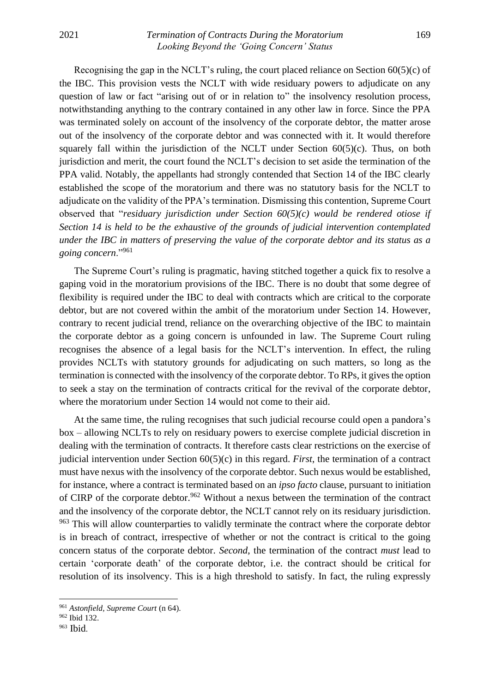## 2021 *Termination of Contracts During the Moratorium* 169 *Looking Beyond the 'Going Concern' Status*

Recognising the gap in the NCLT's ruling, the court placed reliance on Section 60(5)(c) of the IBC. This provision vests the NCLT with wide residuary powers to adjudicate on any question of law or fact "arising out of or in relation to" the insolvency resolution process, notwithstanding anything to the contrary contained in any other law in force. Since the PPA was terminated solely on account of the insolvency of the corporate debtor, the matter arose out of the insolvency of the corporate debtor and was connected with it. It would therefore squarely fall within the jurisdiction of the NCLT under Section  $60(5)(c)$ . Thus, on both jurisdiction and merit, the court found the NCLT's decision to set aside the termination of the PPA valid. Notably, the appellants had strongly contended that Section 14 of the IBC clearly established the scope of the moratorium and there was no statutory basis for the NCLT to adjudicate on the validity of the PPA's termination. Dismissing this contention, Supreme Court observed that "*residuary jurisdiction under Section 60(5)(c) would be rendered otiose if Section 14 is held to be the exhaustive of the grounds of judicial intervention contemplated under the IBC in matters of preserving the value of the corporate debtor and its status as a going concern*."<sup>961</sup>

The Supreme Court's ruling is pragmatic, having stitched together a quick fix to resolve a gaping void in the moratorium provisions of the IBC. There is no doubt that some degree of flexibility is required under the IBC to deal with contracts which are critical to the corporate debtor, but are not covered within the ambit of the moratorium under Section 14. However, contrary to recent judicial trend, reliance on the overarching objective of the IBC to maintain the corporate debtor as a going concern is unfounded in law. The Supreme Court ruling recognises the absence of a legal basis for the NCLT's intervention. In effect, the ruling provides NCLTs with statutory grounds for adjudicating on such matters, so long as the termination is connected with the insolvency of the corporate debtor. To RPs, it gives the option to seek a stay on the termination of contracts critical for the revival of the corporate debtor, where the moratorium under Section 14 would not come to their aid.

At the same time, the ruling recognises that such judicial recourse could open a pandora's box – allowing NCLTs to rely on residuary powers to exercise complete judicial discretion in dealing with the termination of contracts. It therefore casts clear restrictions on the exercise of judicial intervention under Section 60(5)(c) in this regard. *First*, the termination of a contract must have nexus with the insolvency of the corporate debtor. Such nexus would be established, for instance, where a contract is terminated based on an *ipso facto* clause, pursuant to initiation of CIRP of the corporate debtor.<sup>962</sup> Without a nexus between the termination of the contract and the insolvency of the corporate debtor, the NCLT cannot rely on its residuary jurisdiction. <sup>963</sup> This will allow counterparties to validly terminate the contract where the corporate debtor is in breach of contract, irrespective of whether or not the contract is critical to the going concern status of the corporate debtor. *Second*, the termination of the contract *must* lead to certain 'corporate death' of the corporate debtor, i.e. the contract should be critical for resolution of its insolvency. This is a high threshold to satisfy. In fact, the ruling expressly

<sup>961</sup> *Astonfield, Supreme Court* (n 64).

<sup>962</sup> Ibid 132.

<sup>963</sup> Ibid.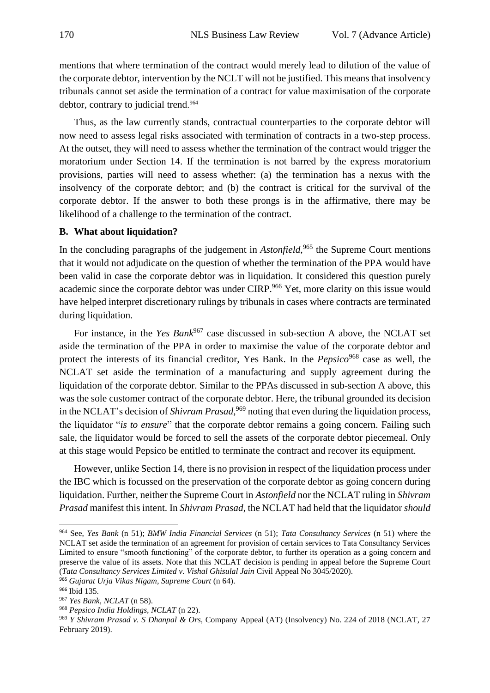mentions that where termination of the contract would merely lead to dilution of the value of the corporate debtor, intervention by the NCLT will not be justified. This means that insolvency tribunals cannot set aside the termination of a contract for value maximisation of the corporate debtor, contrary to judicial trend. 964

Thus, as the law currently stands, contractual counterparties to the corporate debtor will now need to assess legal risks associated with termination of contracts in a two-step process. At the outset, they will need to assess whether the termination of the contract would trigger the moratorium under Section 14. If the termination is not barred by the express moratorium provisions, parties will need to assess whether: (a) the termination has a nexus with the insolvency of the corporate debtor; and (b) the contract is critical for the survival of the corporate debtor. If the answer to both these prongs is in the affirmative, there may be likelihood of a challenge to the termination of the contract.

## <span id="page-17-0"></span>**B. What about liquidation?**

In the concluding paragraphs of the judgement in *Astonfield*,<sup>965</sup> the Supreme Court mentions that it would not adjudicate on the question of whether the termination of the PPA would have been valid in case the corporate debtor was in liquidation. It considered this question purely academic since the corporate debtor was under CIRP.<sup>966</sup> Yet, more clarity on this issue would have helped interpret discretionary rulings by tribunals in cases where contracts are terminated during liquidation.

For instance, in the *Yes Bank*<sup>967</sup> case discussed in sub-section A above, the NCLAT set aside the termination of the PPA in order to maximise the value of the corporate debtor and protect the interests of its financial creditor, Yes Bank. In the *Pepsico*<sup>968</sup> case as well, the NCLAT set aside the termination of a manufacturing and supply agreement during the liquidation of the corporate debtor. Similar to the PPAs discussed in sub-section A above, this was the sole customer contract of the corporate debtor. Here, the tribunal grounded its decision in the NCLAT's decision of *Shivram Prasad*, <sup>969</sup> noting that even during the liquidation process, the liquidator "*is to ensure*" that the corporate debtor remains a going concern. Failing such sale, the liquidator would be forced to sell the assets of the corporate debtor piecemeal. Only at this stage would Pepsico be entitled to terminate the contract and recover its equipment.

However, unlike Section 14, there is no provision in respect of the liquidation process under the IBC which is focussed on the preservation of the corporate debtor as going concern during liquidation. Further, neither the Supreme Court in *Astonfield* nor the NCLAT ruling in *Shivram Prasad* manifest this intent. In *Shivram Prasad*, the NCLAT had held that the liquidator *should*

<sup>964</sup> See, *Yes Bank* (n 51); *BMW India Financial Services* (n 51); *Tata Consultancy Services* (n 51) where the NCLAT set aside the termination of an agreement for provision of certain services to Tata Consultancy Services Limited to ensure "smooth functioning" of the corporate debtor, to further its operation as a going concern and preserve the value of its assets. Note that this NCLAT decision is pending in appeal before the Supreme Court (*Tata Consultancy Services Limited v. Vishal Ghisulal Jain* Civil Appeal No 3045/2020).

<sup>965</sup> *Gujarat Urja Vikas Nigam, Supreme Court* (n 64).

<sup>966</sup> Ibid 135.

<sup>967</sup> *Yes Bank, NCLAT* (n 58).

<sup>968</sup> *Pepsico India Holdings, NCLAT* (n 22).

<sup>969</sup> *Y Shivram Prasad v. S Dhanpal & Ors*, Company Appeal (AT) (Insolvency) No. 224 of 2018 (NCLAT, 27 February 2019).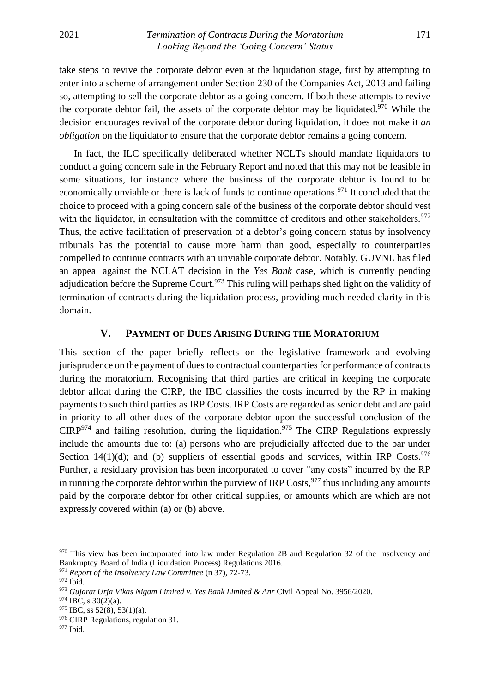take steps to revive the corporate debtor even at the liquidation stage, first by attempting to enter into a scheme of arrangement under Section 230 of the Companies Act, 2013 and failing so, attempting to sell the corporate debtor as a going concern. If both these attempts to revive the corporate debtor fail, the assets of the corporate debtor may be liquidated.<sup>970</sup> While the decision encourages revival of the corporate debtor during liquidation, it does not make it *an obligation* on the liquidator to ensure that the corporate debtor remains a going concern.

In fact, the ILC specifically deliberated whether NCLTs should mandate liquidators to conduct a going concern sale in the February Report and noted that this may not be feasible in some situations, for instance where the business of the corporate debtor is found to be economically unviable or there is lack of funds to continue operations.<sup>971</sup> It concluded that the choice to proceed with a going concern sale of the business of the corporate debtor should vest with the liquidator, in consultation with the committee of creditors and other stakeholders.<sup>972</sup> Thus, the active facilitation of preservation of a debtor's going concern status by insolvency tribunals has the potential to cause more harm than good, especially to counterparties compelled to continue contracts with an unviable corporate debtor. Notably, GUVNL has filed an appeal against the NCLAT decision in the *Yes Bank* case, which is currently pending adjudication before the Supreme Court.<sup>973</sup> This ruling will perhaps shed light on the validity of termination of contracts during the liquidation process, providing much needed clarity in this domain.

## **V. PAYMENT OF DUES ARISING DURING THE MORATORIUM**

<span id="page-18-0"></span>This section of the paper briefly reflects on the legislative framework and evolving jurisprudence on the payment of dues to contractual counterparties for performance of contracts during the moratorium. Recognising that third parties are critical in keeping the corporate debtor afloat during the CIRP, the IBC classifies the costs incurred by the RP in making payments to such third parties as IRP Costs. IRP Costs are regarded as senior debt and are paid in priority to all other dues of the corporate debtor upon the successful conclusion of the  $CIRP<sup>974</sup>$  and failing resolution, during the liquidation.<sup>975</sup> The CIRP Regulations expressly include the amounts due to: (a) persons who are prejudicially affected due to the bar under Section 14(1)(d); and (b) suppliers of essential goods and services, within IRP Costs.<sup>976</sup> Further, a residuary provision has been incorporated to cover "any costs" incurred by the RP in running the corporate debtor within the purview of IRP Costs,  $977$  thus including any amounts paid by the corporate debtor for other critical supplies, or amounts which are which are not expressly covered within (a) or (b) above.

<sup>970</sup> This view has been incorporated into law under Regulation 2B and Regulation 32 of the Insolvency and Bankruptcy Board of India (Liquidation Process) Regulations 2016.

<sup>971</sup> *Report of the Insolvency Law Committee* (n 37), 72-73.

<sup>972</sup> Ibid*.*

<sup>973</sup> *Gujarat Urja Vikas Nigam Limited v. Yes Bank Limited & Anr* Civil Appeal No. 3956/2020.

 $974$  IBC, s 30(2)(a).

 $975$  IBC, ss  $52(8)$ ,  $53(1)(a)$ .

<sup>&</sup>lt;sup>976</sup> CIRP Regulations, regulation 31.

<sup>977</sup> Ibid.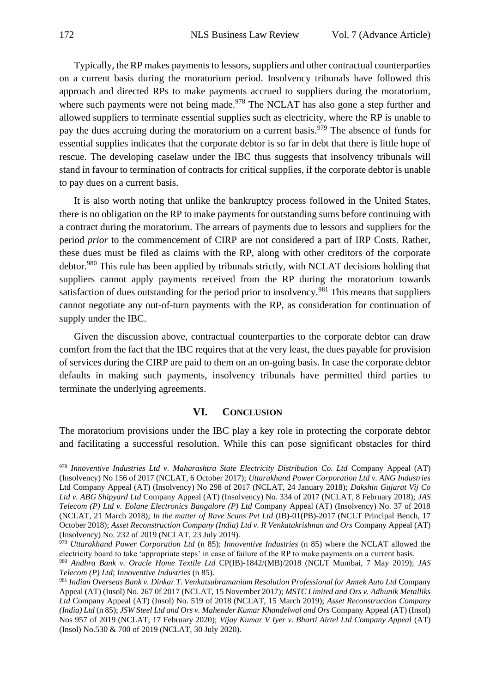Typically, the RP makes payments to lessors, suppliers and other contractual counterparties on a current basis during the moratorium period. Insolvency tribunals have followed this approach and directed RPs to make payments accrued to suppliers during the moratorium, where such payments were not being made.<sup>978</sup> The NCLAT has also gone a step further and allowed suppliers to terminate essential supplies such as electricity, where the RP is unable to pay the dues accruing during the moratorium on a current basis.<sup>979</sup> The absence of funds for essential supplies indicates that the corporate debtor is so far in debt that there is little hope of rescue. The developing caselaw under the IBC thus suggests that insolvency tribunals will stand in favour to termination of contracts for critical supplies, if the corporate debtor is unable to pay dues on a current basis.

It is also worth noting that unlike the bankruptcy process followed in the United States, there is no obligation on the RP to make payments for outstanding sums before continuing with a contract during the moratorium. The arrears of payments due to lessors and suppliers for the period *prior* to the commencement of CIRP are not considered a part of IRP Costs. Rather, these dues must be filed as claims with the RP, along with other creditors of the corporate debtor.<sup>980</sup> This rule has been applied by tribunals strictly, with NCLAT decisions holding that suppliers cannot apply payments received from the RP during the moratorium towards satisfaction of dues outstanding for the period prior to insolvency.<sup>981</sup> This means that suppliers cannot negotiate any out-of-turn payments with the RP, as consideration for continuation of supply under the IBC.

Given the discussion above, contractual counterparties to the corporate debtor can draw comfort from the fact that the IBC requires that at the very least, the dues payable for provision of services during the CIRP are paid to them on an on-going basis. In case the corporate debtor defaults in making such payments, insolvency tribunals have permitted third parties to terminate the underlying agreements.

#### **VI. CONCLUSION**

<span id="page-19-0"></span>The moratorium provisions under the IBC play a key role in protecting the corporate debtor and facilitating a successful resolution. While this can pose significant obstacles for third

<sup>978</sup> *Innoventive Industries Ltd v. Maharashtra State Electricity Distribution Co. Ltd* Company Appeal (AT) (Insolvency) No 156 of 2017 (NCLAT, 6 October 2017); *Uttarakhand Power Corporation Ltd v. ANG Industries* Ltd Company Appeal (AT) (Insolvency) No 298 of 2017 (NCLAT, 24 January 2018); *Dakshin Gujarat Vij Co Ltd v. ABG Shipyard Ltd* Company Appeal (AT) (Insolvency) No. 334 of 2017 (NCLAT, 8 February 2018); *JAS Telecom (P) Ltd v. Eolane Electronics Bangalore (P) Ltd* Company Appeal (AT) (Insolvency) No. 37 of 2018 (NCLAT, 21 March 2018); *In the matter of Rave Scans Pvt Ltd* (IB)-01(PB)-2017 (NCLT Principal Bench, 17 October 2018); *Asset Reconstruction Company (India) Ltd v. R Venkatakrishnan and Ors* Company Appeal (AT) (Insolvency) No. 232 of 2019 (NCLAT, 23 July 2019).

<sup>979</sup> *Uttarakhand Power Corporation Ltd* (n 85); *Innoventive Industries* (n 85) where the NCLAT allowed the electricity board to take 'appropriate steps' in case of failure of the RP to make payments on a current basis.

<sup>980</sup> *Andhra Bank v. Oracle Home Textile Ltd* CP(IB)-1842/(MB)/2018 (NCLT Mumbai, 7 May 2019); *JAS Telecom (P) Ltd*; *Innoventive Industries* (n 85).

<sup>981</sup> *Indian Overseas Bank v. Dinkar T. Venkatsubramaniam Resolution Professional for Amtek Auto Ltd* Company Appeal (AT) (Insol) No. 267 0f 2017 (NCLAT, 15 November 2017); *MSTC Limited and Ors v. Adhunik Metalliks Ltd* Company Appeal (AT) (Insol) No. 519 of 2018 (NCLAT, 15 March 2019); *Asset Reconstruction Company (India) Ltd* (n 85); *JSW Steel Ltd and Ors v. Mahender Kumar Khandelwal and Ors* Company Appeal (AT) (Insol) Nos 957 of 2019 (NCLAT, 17 February 2020); *Vijay Kumar V Iyer v. Bharti Airtel Ltd Company Appeal* (AT) (Insol) No.530 & 700 of 2019 (NCLAT, 30 July 2020).